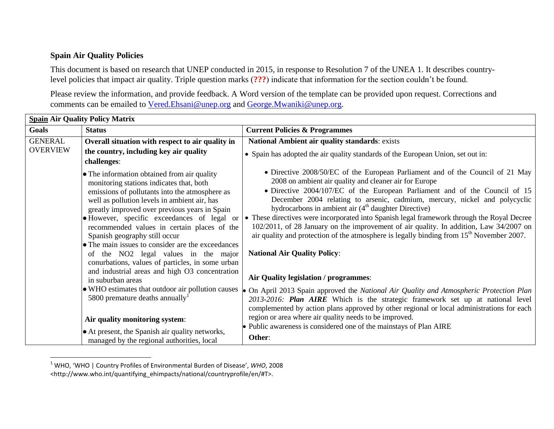## **Spain Air Quality Policies**

l

This document is based on research that UNEP conducted in 2015, in response to Resolution 7 of the UNEA 1. It describes countrylevel policies that impact air quality. Triple question marks (**???**) indicate that information for the section couldn't be found.

Please review the information, and provide feedback. A Word version of the template can be provided upon request. Corrections and comments can be emailed to [Vered.Ehsani@unep.org](mailto:Vered.Ehsani@unep.org) and [George.Mwaniki@unep.org.](mailto:George.Mwaniki@unep.org)

| <b>Spain Air Quality Policy Matrix</b> |                                                                                                                                                                                                                                                                                                                                                                                                                                                                                                                            |                                                                                                                                                                                                                                                                                                                                                                                                                                                                                                                                                                                                                                                                                                        |  |  |
|----------------------------------------|----------------------------------------------------------------------------------------------------------------------------------------------------------------------------------------------------------------------------------------------------------------------------------------------------------------------------------------------------------------------------------------------------------------------------------------------------------------------------------------------------------------------------|--------------------------------------------------------------------------------------------------------------------------------------------------------------------------------------------------------------------------------------------------------------------------------------------------------------------------------------------------------------------------------------------------------------------------------------------------------------------------------------------------------------------------------------------------------------------------------------------------------------------------------------------------------------------------------------------------------|--|--|
| Goals                                  | <b>Status</b>                                                                                                                                                                                                                                                                                                                                                                                                                                                                                                              | <b>Current Policies &amp; Programmes</b>                                                                                                                                                                                                                                                                                                                                                                                                                                                                                                                                                                                                                                                               |  |  |
| <b>GENERAL</b>                         | Overall situation with respect to air quality in                                                                                                                                                                                                                                                                                                                                                                                                                                                                           | National Ambient air quality standards: exists                                                                                                                                                                                                                                                                                                                                                                                                                                                                                                                                                                                                                                                         |  |  |
| <b>OVERVIEW</b>                        | the country, including key air quality<br>challenges:                                                                                                                                                                                                                                                                                                                                                                                                                                                                      | • Spain has adopted the air quality standards of the European Union, set out in:                                                                                                                                                                                                                                                                                                                                                                                                                                                                                                                                                                                                                       |  |  |
|                                        | • The information obtained from air quality<br>monitoring stations indicates that, both<br>emissions of pollutants into the atmosphere as<br>well as pollution levels in ambient air, has<br>greatly improved over previous years in Spain<br>• However, specific exceedances of legal or<br>recommended values in certain places of the<br>Spanish geography still occur<br>• The main issues to consider are the exceedances<br>of the NO2 legal values in the major<br>conurbations, values of particles, in some urban | • Directive 2008/50/EC of the European Parliament and of the Council of 21 May<br>2008 on ambient air quality and cleaner air for Europe<br>• Directive 2004/107/EC of the European Parliament and of the Council of 15<br>December 2004 relating to arsenic, cadmium, mercury, nickel and polycyclic<br>hydrocarbons in ambient air (4 <sup>th</sup> daughter Directive)<br>• These directives were incorporated into Spanish legal framework through the Royal Decree<br>102/2011, of 28 January on the improvement of air quality. In addition, Law 34/2007 on<br>air quality and protection of the atmosphere is legally binding from $15th$ November 2007.<br><b>National Air Quality Policy:</b> |  |  |
|                                        | and industrial areas and high O3 concentration<br>in suburban areas<br>• WHO estimates that outdoor air pollution causes<br>5800 premature deaths annually<br>Air quality monitoring system:                                                                                                                                                                                                                                                                                                                               | Air Quality legislation / programmes:<br>• On April 2013 Spain approved the National Air Quality and Atmospheric Protection Plan<br>2013-2016: Plan AIRE Which is the strategic framework set up at national level<br>complemented by action plans approved by other regional or local administrations for each<br>region or area where air quality needs to be improved.                                                                                                                                                                                                                                                                                                                              |  |  |
|                                        | • At present, the Spanish air quality networks,<br>managed by the regional authorities, local                                                                                                                                                                                                                                                                                                                                                                                                                              | • Public awareness is considered one of the mainstays of Plan AIRE<br>Other:                                                                                                                                                                                                                                                                                                                                                                                                                                                                                                                                                                                                                           |  |  |

<sup>1</sup> WHO, 'WHO | Country Profiles of Environmental Burden of Disease', *WHO*, 2008

<sup>&</sup>lt;http://www.who.int/quantifying\_ehimpacts/national/countryprofile/en/#T>.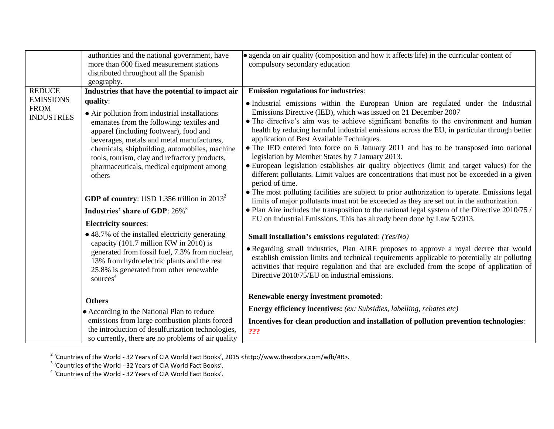|                                                      | authorities and the national government, have<br>more than 600 fixed measurement stations<br>distributed throughout all the Spanish<br>geography.                                                                                                                                                                                                     | • agenda on air quality (composition and how it affects life) in the curricular content of<br>compulsory secondary education                                                                                                                                                                                                                                                                                                                                                                                                                                                                                                                                                                                                                                                                                                                               |
|------------------------------------------------------|-------------------------------------------------------------------------------------------------------------------------------------------------------------------------------------------------------------------------------------------------------------------------------------------------------------------------------------------------------|------------------------------------------------------------------------------------------------------------------------------------------------------------------------------------------------------------------------------------------------------------------------------------------------------------------------------------------------------------------------------------------------------------------------------------------------------------------------------------------------------------------------------------------------------------------------------------------------------------------------------------------------------------------------------------------------------------------------------------------------------------------------------------------------------------------------------------------------------------|
| <b>REDUCE</b>                                        | Industries that have the potential to impact air                                                                                                                                                                                                                                                                                                      | <b>Emission regulations for industries:</b>                                                                                                                                                                                                                                                                                                                                                                                                                                                                                                                                                                                                                                                                                                                                                                                                                |
| <b>EMISSIONS</b><br><b>FROM</b><br><b>INDUSTRIES</b> | quality:<br>• Air pollution from industrial installations<br>emanates from the following: textiles and<br>apparel (including footwear), food and<br>beverages, metals and metal manufactures,<br>chemicals, shipbuilding, automobiles, machine<br>tools, tourism, clay and refractory products,<br>pharmaceuticals, medical equipment among<br>others | • Industrial emissions within the European Union are regulated under the Industrial<br>Emissions Directive (IED), which was issued on 21 December 2007<br>• The directive's aim was to achieve significant benefits to the environment and human<br>health by reducing harmful industrial emissions across the EU, in particular through better<br>application of Best Available Techniques.<br>• The IED entered into force on 6 January 2011 and has to be transposed into national<br>legislation by Member States by 7 January 2013.<br>• European legislation establishes air quality objectives (limit and target values) for the<br>different pollutants. Limit values are concentrations that must not be exceeded in a given<br>period of time.<br>• The most polluting facilities are subject to prior authorization to operate. Emissions legal |
|                                                      | <b>GDP of country:</b> USD 1.356 trillion in $2013^2$<br>Industries' share of GDP: 26% <sup>3</sup><br><b>Electricity sources:</b>                                                                                                                                                                                                                    | limits of major pollutants must not be exceeded as they are set out in the authorization.<br>• Plan Aire includes the transposition to the national legal system of the Directive $2010/75$ /<br>EU on Industrial Emissions. This has already been done by Law 5/2013.                                                                                                                                                                                                                                                                                                                                                                                                                                                                                                                                                                                     |
|                                                      | • 48.7% of the installed electricity generating<br>capacity $(101.7 \text{ million KW in } 2010)$ is<br>generated from fossil fuel, 7.3% from nuclear,<br>13% from hydroelectric plants and the rest<br>25.8% is generated from other renewable<br>sources <sup>4</sup>                                                                               | Small installation's emissions regulated: (Yes/No)<br>• Regarding small industries, Plan AIRE proposes to approve a royal decree that would<br>establish emission limits and technical requirements applicable to potentially air polluting<br>activities that require regulation and that are excluded from the scope of application of<br>Directive 2010/75/EU on industrial emissions.                                                                                                                                                                                                                                                                                                                                                                                                                                                                  |
|                                                      | <b>Others</b><br>• According to the National Plan to reduce<br>emissions from large combustion plants forced<br>the introduction of desulfurization technologies,<br>so currently, there are no problems of air quality                                                                                                                               | Renewable energy investment promoted:<br><b>Energy efficiency incentives:</b> (ex: Subsidies, labelling, rebates etc)<br>Incentives for clean production and installation of pollution prevention technologies:<br>???                                                                                                                                                                                                                                                                                                                                                                                                                                                                                                                                                                                                                                     |

<sup>&</sup>lt;sup>2</sup> 'Countries of the World - 32 Years of CIA World Fact Books', 2015 <http://www.theodora.com/wfb/#R>.<br><sup>3</sup> 'Countries of the World - 32 Years of CIA World Fact Books'.<br><sup>4</sup> 'Countries of the World - 32 Years of CIA World F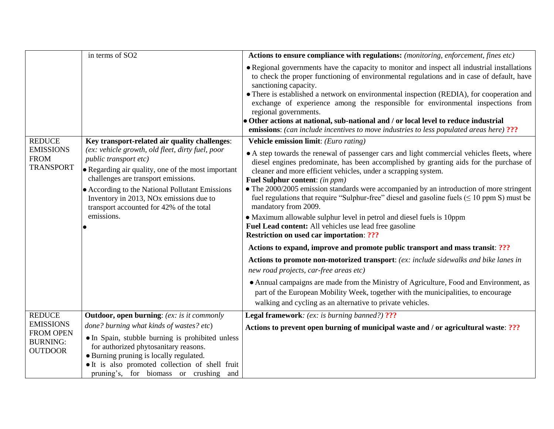|                                                                                            | in terms of SO2                                                                                                                                                                                                                   | Actions to ensure compliance with regulations: (monitoring, enforcement, fines etc)                                                                                                                                                                                                                                                                                                                                         |
|--------------------------------------------------------------------------------------------|-----------------------------------------------------------------------------------------------------------------------------------------------------------------------------------------------------------------------------------|-----------------------------------------------------------------------------------------------------------------------------------------------------------------------------------------------------------------------------------------------------------------------------------------------------------------------------------------------------------------------------------------------------------------------------|
|                                                                                            |                                                                                                                                                                                                                                   | • Regional governments have the capacity to monitor and inspect all industrial installations<br>to check the proper functioning of environmental regulations and in case of default, have<br>sanctioning capacity.<br>• There is established a network on environmental inspection (REDIA), for cooperation and<br>exchange of experience among the responsible for environmental inspections from<br>regional governments. |
|                                                                                            |                                                                                                                                                                                                                                   | • Other actions at national, sub-national and / or local level to reduce industrial<br><b>emissions:</b> (can include incentives to move industries to less populated areas here) ???                                                                                                                                                                                                                                       |
| <b>REDUCE</b>                                                                              | Key transport-related air quality challenges:                                                                                                                                                                                     | Vehicle emission limit: (Euro rating)                                                                                                                                                                                                                                                                                                                                                                                       |
| <b>EMISSIONS</b><br><b>FROM</b><br><b>TRANSPORT</b>                                        | (ex: vehicle growth, old fleet, dirty fuel, poor<br>public transport etc)<br>• Regarding air quality, one of the most important<br>challenges are transport emissions.                                                            | • A step towards the renewal of passenger cars and light commercial vehicles fleets, where<br>diesel engines predominate, has been accomplished by granting aids for the purchase of<br>cleaner and more efficient vehicles, under a scrapping system.<br>Fuel Sulphur content: (in ppm)                                                                                                                                    |
|                                                                                            | • According to the National Pollutant Emissions<br>Inventory in 2013, NO <sub>x</sub> emissions due to<br>transport accounted for 42% of the total                                                                                | • The 2000/2005 emission standards were accompanied by an introduction of more stringent<br>fuel regulations that require "Sulphur-free" diesel and gasoline fuels $(\leq 10$ ppm S) must be<br>mandatory from 2009.                                                                                                                                                                                                        |
|                                                                                            | emissions.                                                                                                                                                                                                                        | • Maximum allowable sulphur level in petrol and diesel fuels is 10ppm<br>Fuel Lead content: All vehicles use lead free gasoline<br><b>Restriction on used car importation: ???</b>                                                                                                                                                                                                                                          |
|                                                                                            |                                                                                                                                                                                                                                   | Actions to expand, improve and promote public transport and mass transit: ???                                                                                                                                                                                                                                                                                                                                               |
|                                                                                            |                                                                                                                                                                                                                                   | Actions to promote non-motorized transport: (ex: include sidewalks and bike lanes in<br>new road projects, car-free areas etc)                                                                                                                                                                                                                                                                                              |
|                                                                                            |                                                                                                                                                                                                                                   | • Annual campaigns are made from the Ministry of Agriculture, Food and Environment, as<br>part of the European Mobility Week, together with the municipalities, to encourage<br>walking and cycling as an alternative to private vehicles.                                                                                                                                                                                  |
| <b>REDUCE</b><br><b>EMISSIONS</b><br><b>FROM OPEN</b><br><b>BURNING:</b><br><b>OUTDOOR</b> | <b>Outdoor, open burning:</b> (ex: is it commonly                                                                                                                                                                                 | <b>Legal framework:</b> (ex: is burning banned?) ???                                                                                                                                                                                                                                                                                                                                                                        |
|                                                                                            | done? burning what kinds of wastes? etc)                                                                                                                                                                                          | Actions to prevent open burning of municipal waste and / or agricultural waste: ???                                                                                                                                                                                                                                                                                                                                         |
|                                                                                            | • In Spain, stubble burning is prohibited unless<br>for authorized phytosanitary reasons.<br>• Burning pruning is locally regulated.<br>• It is also promoted collection of shell fruit<br>pruning's, for biomass or crushing and |                                                                                                                                                                                                                                                                                                                                                                                                                             |